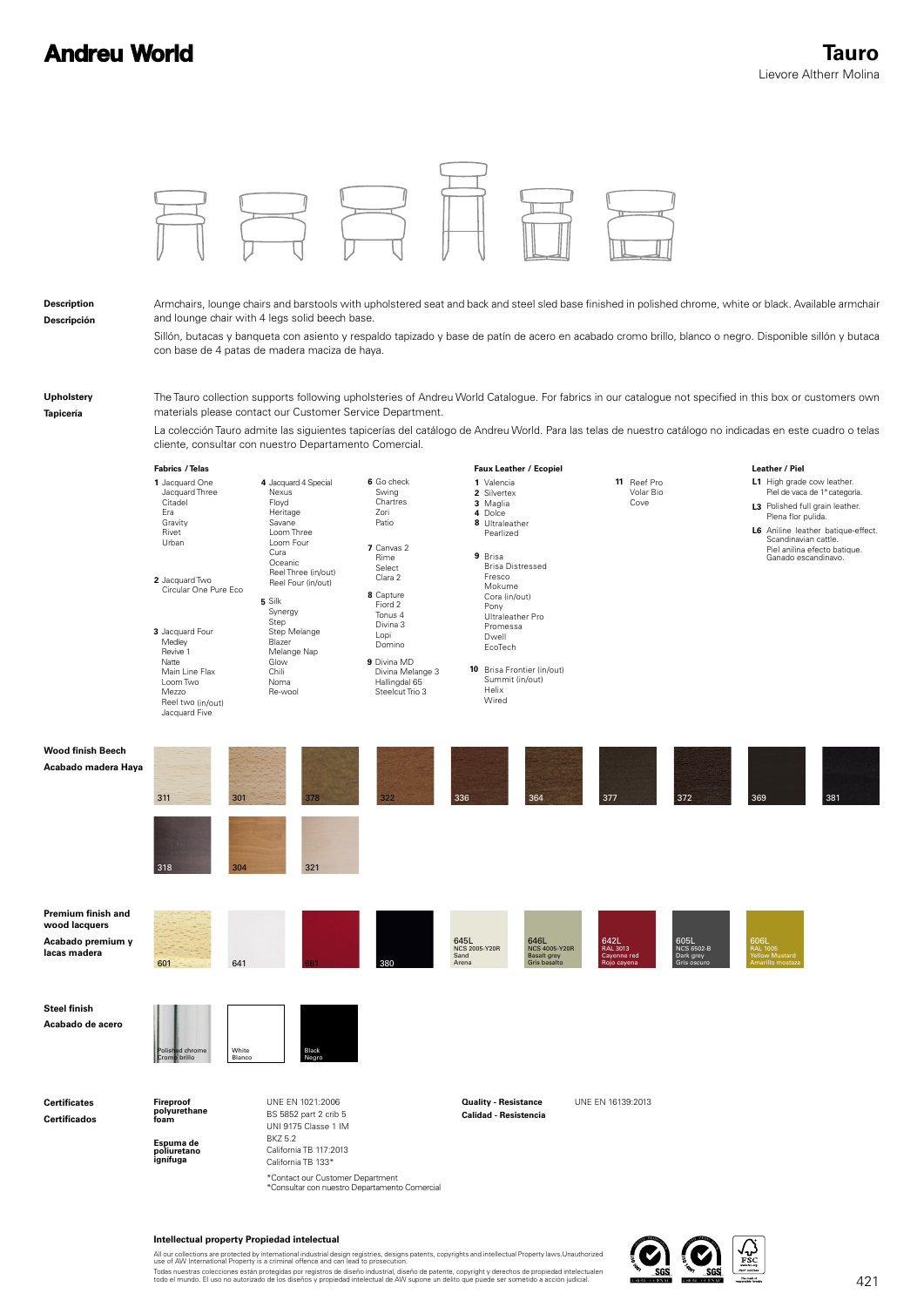## **Andreu World**



## **Intellectual property Propiedad intelectual**

All our collections are protected by international industrial design registries, designs patents, copyrights and intellectual Property laws.Unauthorized<br>use of AW International Property is a criminal offence and can lead t

Todas nuestras colecciones están protegidas por registros de diseño industrial, diseño de patente, copyright y derechos de propiedad intelectualen<br>todo el mundo. El uso no autorizado de los diseños y propiedad intelectual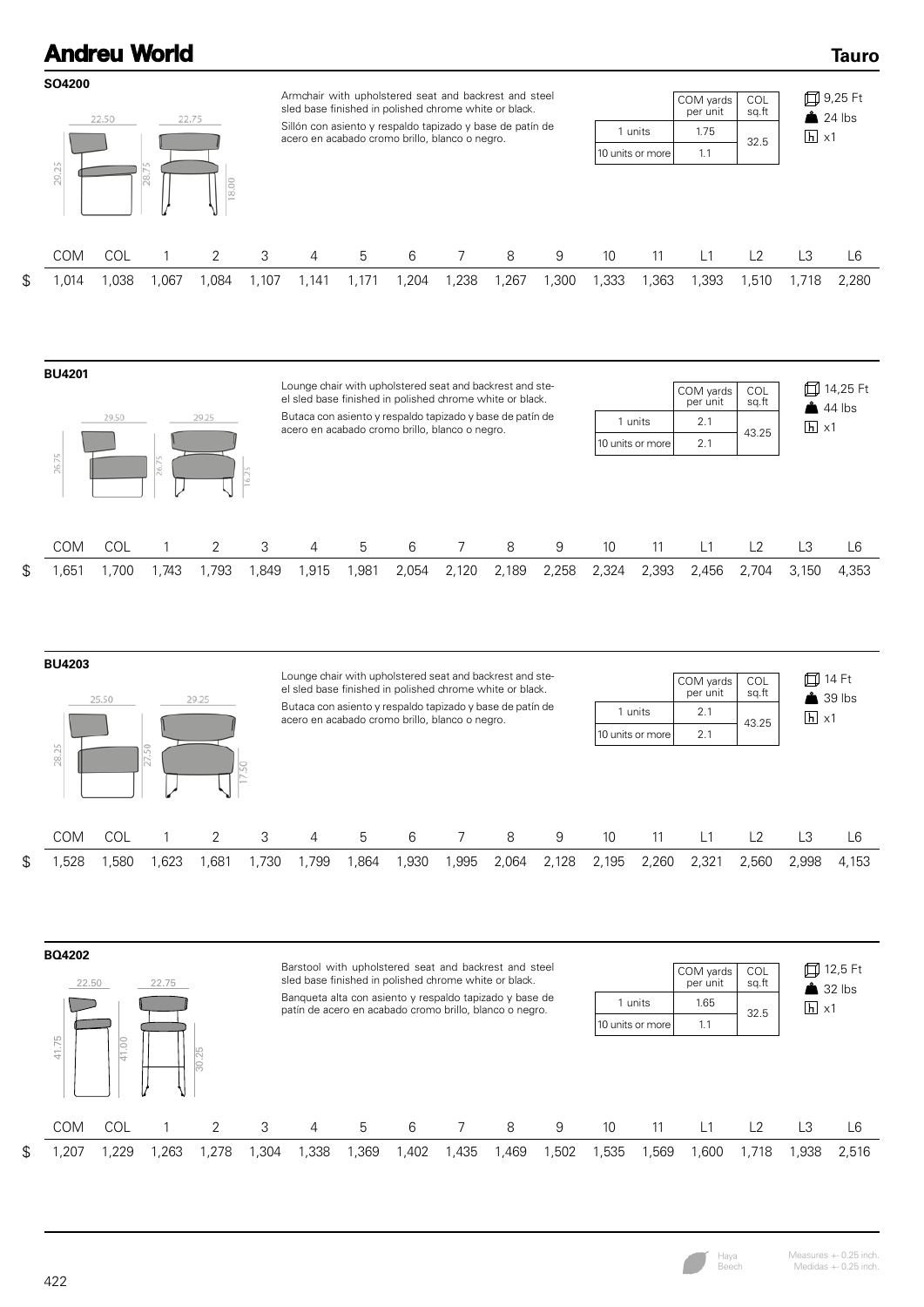## **Andreu World SO4200** Armchair with upholstered seat and backrest and steel COM yards COL sled base finished in polished chrome white or black. per unit sq.ft 22.50 22.75 Sillón con asiento y respaldo tapizado y base de patín de 1 units 1.75 acero en acabado cromo brillo, blanco o negro. 10 units or more 1.1 29.25

| acero en acabado cromo brillo, blanco o negro. | units              | 1.75 | 32.5 | $ h  \times 1$ |  |  |
|------------------------------------------------|--------------------|------|------|----------------|--|--|
|                                                | 10 units or more l |      |      |                |  |  |
|                                                |                    |      |      |                |  |  |

|  |  |  |  | COM COL 1 2 3 4 5 6 7 8 9 10 11 L1 L2 L3 L6                                                              |  |  |  |  |  |
|--|--|--|--|----------------------------------------------------------------------------------------------------------|--|--|--|--|--|
|  |  |  |  | \$ 1,014 1,038 1,067 1,084 1,107 1,141 1,171 1,204 1,238 1,267 1,300 1,333 1,363 1,393 1,510 1,718 2,280 |  |  |  |  |  |









**□9,25 Ft**  $24$  lbs

Haya Beech